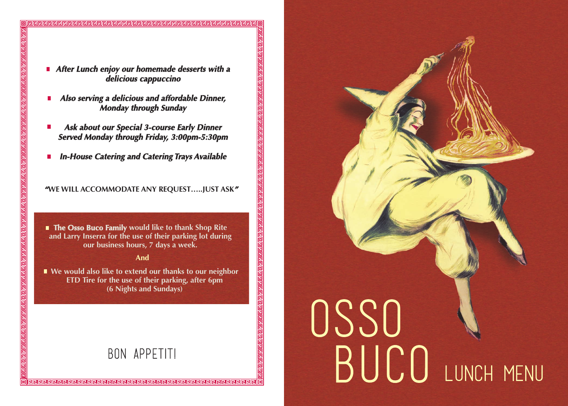**After Lunch enjoy our homemade desserts with a delicious cappuccino**

- **Also serving a delicious and affordable Dinner, Monday through Sunday**
- **Ask about our Special 3-course Early Dinner Served Monday through Friday, 3:00pm-5:30pm**
- **In-House Catering and Catering Trays Available**  $\mathcal{L}_{\mathcal{A}}$

**"WE WILL ACCOMMODATE ANY REQUEST…..JUST ASK"**

**The Osso Buco Family would like to thank Shop Rite and Larry Inserra for the use of their parking lot during our business hours, 7 days a week.**

#### **And**

**We would also like to extend our thanks to our neighbor ETD Tire for the use of their parking, after 6pm (6 Nights and Sundays)**

# BON APPETITI

# OSSO BUCO LUNCH MENU